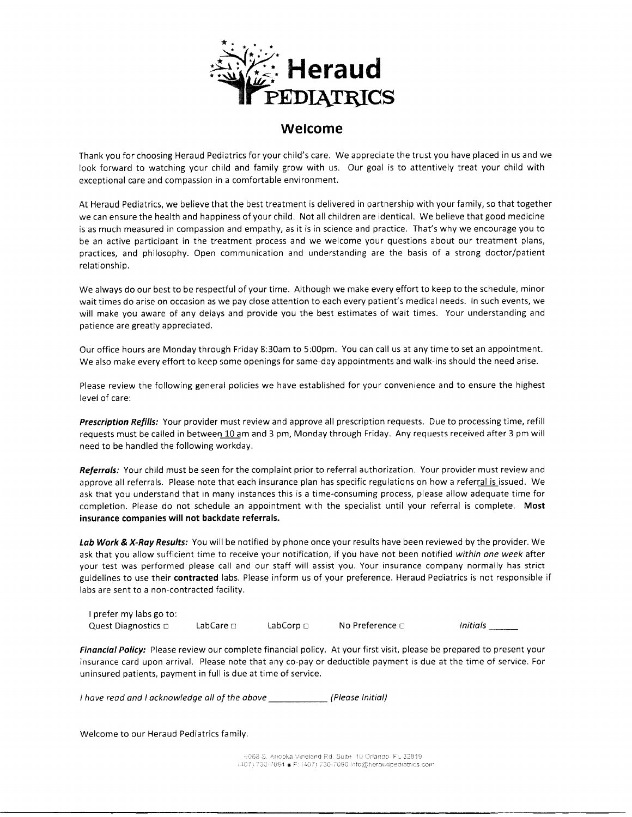

#### welcome

Thank you for choosing Heraud Pediatrics for your child's care. We appreciate the trust you have placed in us and we look forward to watching your child and family grow with us. Our goal is to attentively treat your child with exceptional care and compassion in a comfortable environment.

At Heraud Pediatrics, we believe that the best treatment is delivered in partnership with your family, so that together we can ensure the health and happiness of your child. Not all children are identical. We believe that good medicine is as much measured in compassion and empathy, as it is in science and practice. That's why we encourage you to be an active participant in the treatment process and we welcome your questions about our treatment plans, practices, and philosophy. Open communication and understanding are the basis of a strong doctor/patient relationship.

We always do our best to be respectful of your time. Although we make every effort to keep to the schedule, minor wait times do arise on occasion as we pay close attention to each every patient's medical needs. ln such events, we will make you aware of any delays and provide you the best estimates of wait times. Your understanding and patience are greatly appreciated.

Our office hours are Monday through Friday 8:30am to 5:00pm. You can call us at any time to set an appointment. We also make every effort to keep some openings for same-day appointments and walk-ins should the need arise.

Please review the following general policies we have established for your convenience and to ensure the highest level of care:

Prescription Refills: Your provider must review and approve all prescription requests. Due to processing time, refill requests must be called in between 10 am and 3 pm, Monday through Friday. Any requests received after 3 pm will need to be handled the following workday.

Referrals: Your child must be seen for the complaint prior to referral authorization. Your provider must review and approve all referrals. Please note that each insurance plan has specific regulations on how a referral is issued. We ask that you understand that in many instances this is a time-consuming process, please allow adequate time for completion. Please do not schedule an appointment with the specialist until your referral is complete. Most insurance companies will not backdate referrals.

Lab Work & X-Ray Results: You will be notified by phone once your results have been reviewed by the provider. We ask that you allow sufficient time to receive your notification, if you have not been notified within one week after your test was performed please call and our staff will assist you. Your insurance company normally has strict guidelines to use their contracted labs. Please inform us of your preference. Heraud Pediatrics is not responsible if labs are sent to a non-contracted facility.

I prefer my labs go to: Quest Diagnostics  $\square$  intials notation and LabCorp intials in Mo Preference  $\square$  initials in LabCare  $\square$  intials in LabCare  $\square$  intials in LabCare  $\square$  in LabCare  $\square$  in LabCare  $\square$  in LabCare  $\square$  in LabCare  $\square$  in

Financial Policy: Please review our complete financial policy. At your first visit, please be prepared to present your insurance card upon arrival. Please note that any co-pay or deductible payment is due at the time of service. For uninsured patients, payment in full is due at time of service.

I have read and I acknowledge all of the above [Please Initial]

Welcome to our Heraud Pediatrics family.

6068 S. Apopka Vineland Rd. Suite 10 Orlando, FL 32819 (407) 730-7084 E: (407) 730-7090 info@heraudpediatrics.com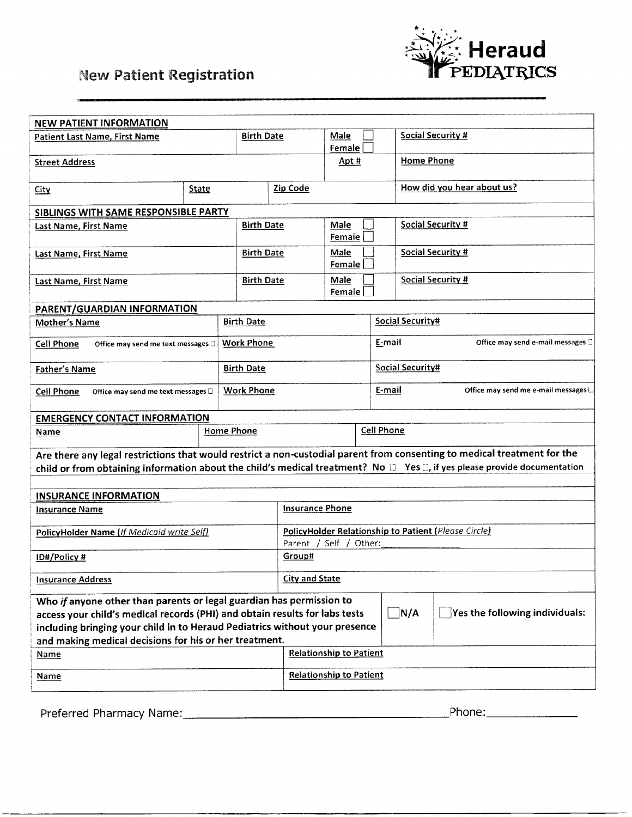# **New Patient Registration**



| <b>NEW PATIENT INFORMATION</b>                                                                                                     |       |                                 |        |                                                      |        |                                                                                                                                     |  |
|------------------------------------------------------------------------------------------------------------------------------------|-------|---------------------------------|--------|------------------------------------------------------|--------|-------------------------------------------------------------------------------------------------------------------------------------|--|
| <b>Birth Date</b>                                                                                                                  |       |                                 |        | <b>Male</b>                                          |        | <b>Social Security #</b>                                                                                                            |  |
| <b>Patient Last Name, First Name</b>                                                                                               |       |                                 |        | Female                                               |        |                                                                                                                                     |  |
|                                                                                                                                    |       |                                 |        | Apt #                                                |        | <b>Home Phone</b>                                                                                                                   |  |
| <b>Street Address</b>                                                                                                              |       |                                 |        |                                                      |        |                                                                                                                                     |  |
|                                                                                                                                    |       |                                 |        |                                                      |        | How did you hear about us?                                                                                                          |  |
| <u>City</u>                                                                                                                        | State |                                 |        | Zip Code                                             |        |                                                                                                                                     |  |
| SIBLINGS WITH SAME RESPONSIBLE PARTY                                                                                               |       |                                 |        |                                                      |        |                                                                                                                                     |  |
| <b>Birth Date</b><br><b>Last Name, First Name</b>                                                                                  |       |                                 |        | Male                                                 |        | <b>Social Security #</b>                                                                                                            |  |
|                                                                                                                                    |       |                                 |        | Female                                               |        |                                                                                                                                     |  |
|                                                                                                                                    |       | <b>Birth Date</b>               |        | Male                                                 |        | <b>Social Security #</b>                                                                                                            |  |
| <b>Last Name, First Name</b>                                                                                                       |       |                                 |        | Female                                               |        |                                                                                                                                     |  |
|                                                                                                                                    |       |                                 |        |                                                      |        |                                                                                                                                     |  |
| Last Name, First Name                                                                                                              |       | <b>Birth Date</b>               |        | Male<br>Female                                       |        | <b>Social Security #</b>                                                                                                            |  |
|                                                                                                                                    |       |                                 |        |                                                      |        |                                                                                                                                     |  |
| PARENT/GUARDIAN INFORMATION                                                                                                        |       |                                 |        |                                                      |        |                                                                                                                                     |  |
| <b>Mother's Name</b>                                                                                                               |       | <b>Birth Date</b>               |        | <b>Social Security#</b>                              |        |                                                                                                                                     |  |
| <b>Cell Phone</b><br>Office may send me text messages [3]                                                                          |       | <b>Work Phone</b>               |        |                                                      | E-mail | Office may send e-mail messages []                                                                                                  |  |
|                                                                                                                                    |       |                                 |        |                                                      |        |                                                                                                                                     |  |
| <b>Father's Name</b>                                                                                                               |       | <b>Birth Date</b>               |        | Social Security#                                     |        |                                                                                                                                     |  |
|                                                                                                                                    |       |                                 |        |                                                      |        |                                                                                                                                     |  |
| <b>Cell Phone</b><br>Office may send me text messages $\square$                                                                    |       | <b>Work Phone</b>               |        |                                                      | E-mail | Office may send me e-mail messages [3]                                                                                              |  |
|                                                                                                                                    |       |                                 |        |                                                      |        |                                                                                                                                     |  |
| <b>EMERGENCY CONTACT INFORMATION</b>                                                                                               |       |                                 |        |                                                      |        |                                                                                                                                     |  |
| Name                                                                                                                               |       | <b>Cell Phone</b><br>Home Phone |        |                                                      |        |                                                                                                                                     |  |
|                                                                                                                                    |       |                                 |        |                                                      |        |                                                                                                                                     |  |
|                                                                                                                                    |       |                                 |        |                                                      |        | Are there any legal restrictions that would restrict a non-custodial parent from consenting to medical treatment for the            |  |
|                                                                                                                                    |       |                                 |        |                                                      |        | child or from obtaining information about the child's medical treatment? No $\Box$ Yes $\Box$ , if yes please provide documentation |  |
|                                                                                                                                    |       |                                 |        |                                                      |        |                                                                                                                                     |  |
| <b>INSURANCE INFORMATION</b>                                                                                                       |       |                                 |        |                                                      |        |                                                                                                                                     |  |
| <b>Insurance Name</b>                                                                                                              |       |                                 |        | <b>Insurance Phone</b>                               |        |                                                                                                                                     |  |
|                                                                                                                                    |       |                                 |        |                                                      |        |                                                                                                                                     |  |
| PolicyHolder Name (If Medicaid write Self)                                                                                         |       |                                 |        | PolicyHolder Relationship to Patient (Please Circle) |        |                                                                                                                                     |  |
|                                                                                                                                    |       |                                 |        | Parent / Self / Other:                               |        |                                                                                                                                     |  |
| <b>ID#/Policy#</b>                                                                                                                 |       |                                 | Group# |                                                      |        |                                                                                                                                     |  |
|                                                                                                                                    |       |                                 |        |                                                      |        |                                                                                                                                     |  |
| <b>Insurance Address</b>                                                                                                           |       |                                 |        | <b>City and State</b>                                |        |                                                                                                                                     |  |
| Who if anyone other than parents or legal guardian has permission to                                                               |       |                                 |        |                                                      |        |                                                                                                                                     |  |
| $\Box$ N/A<br>$\Box$ Yes the following individuals:<br>access your child's medical records (PHI) and obtain results for labs tests |       |                                 |        |                                                      |        |                                                                                                                                     |  |
| including bringing your child in to Heraud Pediatrics without your presence                                                        |       |                                 |        |                                                      |        |                                                                                                                                     |  |
| and making medical decisions for his or her treatment.                                                                             |       |                                 |        |                                                      |        |                                                                                                                                     |  |
| <b>Name</b>                                                                                                                        |       |                                 |        | <b>Relationship to Patient</b>                       |        |                                                                                                                                     |  |
|                                                                                                                                    |       |                                 |        |                                                      |        |                                                                                                                                     |  |
| <b>Name</b>                                                                                                                        |       |                                 |        | <b>Relationship to Patient</b>                       |        |                                                                                                                                     |  |
|                                                                                                                                    |       |                                 |        |                                                      |        |                                                                                                                                     |  |

Preferred Pharmacy Name: Phone: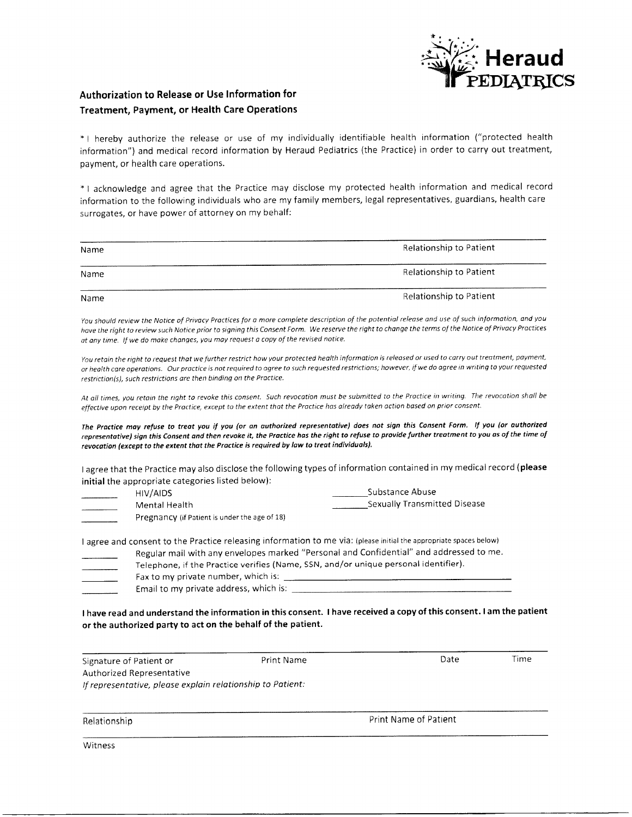

### Authorization to Release or Use lnformation for Treatment, Payment, or Health Care Operations

\* | hereby authorize the release or use of my individually identifiable health information ("protected health information") and medical record information by Heraud Pediatrics (the Practice) in order to carry out treatment, payment, or health care operations.

\* I acknowledge and agree that the Practice may disclose my protected health information and medical record information to the following individuals who are my family members, legal representatives, guardians, health care surrogates, or have power of attorney on my behalf:

| Name | Relationship to Patient |
|------|-------------------------|
|      |                         |
| Name | Relationship to Patient |
|      |                         |
| Name | Relationship to Patient |

You should review the Notice of Privacy Practices for a more complete description of the potential release and use of such information, and you have the right to review such Notice prior to signing this Consent Form. We reserve the right to change the terms of the Notice of Privacy Practices at any time. If we do make changes, you may request a copy of the revised notice.

You retain the right to request that we further restrict how your protected health information is released or used to carry out treatment, payment, or heolth core operotions. Our proctice is not required to ogree to such requested restrictions; however, if we do agree in writinq to your requested restriction(s), such restrictions are then binding on the Practice.

At all times, you retain the right to revoke this consent. Such revocation must be submitted to the Practice in writing. The revocation shall be effective upon receipt by the Practice, except to the extent that the Practice has already taken action based on prior consent.

The Practice may refuse to treat you if you (or an authorized representative) does not sign this Consent Form. If you (or authorized representative) sign this Consent and then revoke it, the Practice has the right to refuse to provide further treatment to you as of the time of revocation (except to the extent that the Practice is required by law to treat individuals).

<sup>I</sup>agree that the Practice may also disclose the following types of information contained in my medical record {please initial the appropriate categories listed below):

| HIV/AIDS                                      | Substance Abuse                     |
|-----------------------------------------------|-------------------------------------|
| Mental Health                                 | <b>Sexually Transmitted Disease</b> |
| Pregnancy (if Patient is under the age of 18) |                                     |

<sup>I</sup>agree and consent to the Practice releasing information to me via: (please initial the appropriate spaces below)

Regular mail with any envelopes marked "Personal and Confidential" and addressed to me.

| Telephone, if the Practice verifies (Name, SSN, and/or unique personal identifier). |
|-------------------------------------------------------------------------------------|
| Fax to my private number, which is:                                                 |
| Email to my private address, which is:                                              |
|                                                                                     |

<sup>I</sup>have read and understand the information in this consent. I have received a copy of this consent. I am the patient or the authorized party to act on the behalf of the patient.

Signature of Patient or Authorized Representative lf representotive, pleose exploin relotionship to Patient: Print Name Date Time

Relationship

Print Name of Patient

Witness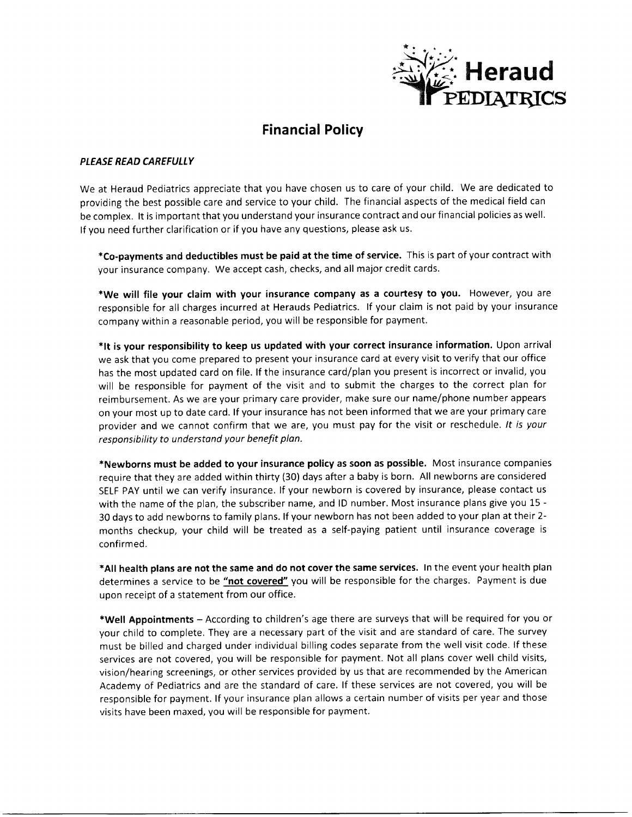

# Financial Policy

#### PLEASE READ CAREFULLY

We at Heraud Pediatrics appreciate that you have chosen us to care of your child. We are dedicated to providing the best possible care and service to your child. The financial aspects of the medical field can be complex. It is important that you understand your insurance contract and our financial policies as well. If you need further clarification or if you have any questions, please ask us.

\*Co-payments and deductibles must be paid at the time of service. This is part of your contract with your insurance company. We accept cash, checks, and all major credit cards.

\*We will file your claim with your insurance company as a courtesy to you. However, you are responsible for all charges incurred at Herauds Pediatrics. lf your claim is not paid by your insurance company within a reasonable period, you will be responsible for payment.

\*lt is your responsibility to keep us updated with your correct insurance information. Upon arrival we ask that you come prepared to present your insurance card at every visit to verify that our office has the most updated card on file. lf the insurance card/plan you present is incorrect or invalid, you will be responsible for payment of the visit and to submit the charges to the correct plan for reimbursement. As we are your primary care provider, make sure our name/phone number appears on your most up to date card. lf your insurance has not been informed that we are your primary care provider and we cannot confirm that we are, you must pay for the visit or reschedule. It is your responsibility to understand your benefit plan.

\*Newborns must be added to your insurance policy as soon as possible. Most insurance companies require that they are added within thirty (30) days after a baby is born. All newborns are considered SELF PAY until we can verify insurance. lf your newborn is covered by insurance, please contact us with the name of the plan, the subscriber name, and lD number. Most insurance plans give you 15 - 30 days to add newborns to family plans. lf your newborn has not been added to your plan at their 2 months checkup, your child will be treated as a self-paying patient until insurance coverage is confirmed.

\*All health plans are not the same and do not cover the same services. ln the event your health plan determines a service to be "not covered" you will be responsible for the charges. Payment is due upon receipt of a statement from our office.

\*Well Appointments - According to children's age there are surveys that will be required for you or your child to complete. They are a necessary part of the visit and are standard of care. The survey must be billed and charged under individual billing codes separate from the well visit code. lf these services are not covered, you will be responsible for payment. Not all plans cover well child visits, vision/hearing screenings, or other services provided by us that are recommended by the American Academy of Pediatrics and are the standard of care. lf these services are not covered, you will be responsible for payment. lf your insurance plan allows a certain number of visits per year and those visits have been maxed, you will be responsible for payment,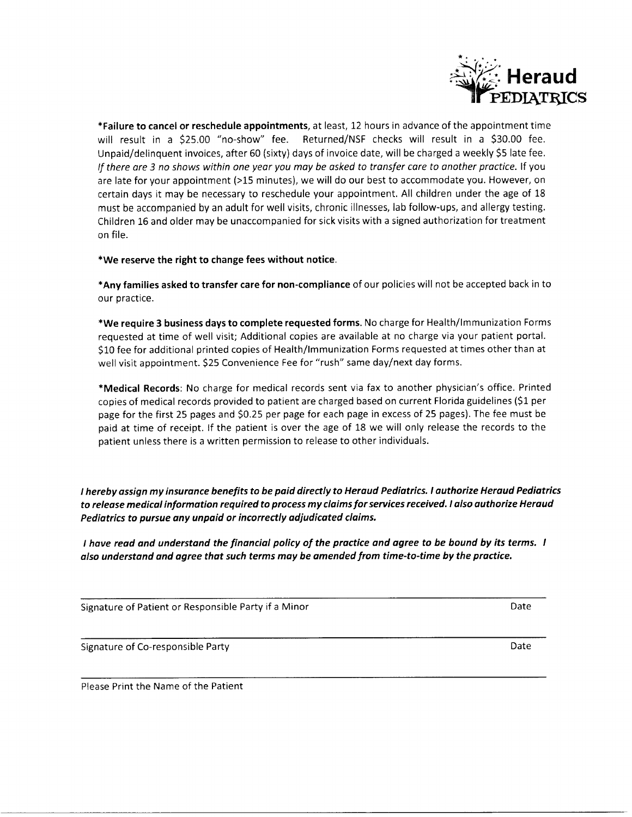

\*Failure to cancel or reschedule appointments, at least, 12 hours in advance of the appointment time will result in a \$25.00 "no-show" fee. Returned/NSF checks will result in a \$30.00 fee. Unpaid/delinquent invoices, after 60 (sixty) days of invoice date, will be charged a weekly \$S late fee. If there are 3 no shows within one year you may be asked to transfer care to another practice. If you are late for your appointment (>15 minutes), we will do our best to accommodate you. However, on certain days it may be necessary to reschedule your appointment. All children under the age of <sup>18</sup> must be accompanied by an adult for well visits, chronic illnesses, lab follow-ups, and allergy testing. Children L6 and older may be unaccompanied for sick visits with a signed authorization for treatment on file.

\*We reserve the right to change fees without notice.

\*Any families asked to transfer care for non-compliance of our policies will not be accepted back in to our practice.

\*We require 3 business days to complete requested forms. No charge for Health/lmmunization Forms requested at time of well visit; Additional copies are available at no charge via your patient portal. S10 fee for additional printed copies of Health/lmmunization Forms requested at times other than at well visit appointment. S25 Convenience Fee for "rush" same day/next day forms.

\*Medical Records: No charge for medical records sent via fax to another physician's office. Printed copies of medical records provided to patient are charged based on current Florida guidelines (S1 per page for the first 25 pages and S0.25 per page for each page in excess of 25 pages). The fee must be paid at time of receipt. lf the patient is over the age of 18 we will only release the records to the patient unless there is a written permission to release to other individuals.

I hereby ossign my insurance benefits to be paid directly to Heraud Pediotrics. I authorize Heroud Pediotrics to release medical information required to process my claims for services received. I also authorize Heraud Pediatrics to pursue any unpaid or incorrectly adjudicated claims.

I have read and understand the financial policy of the practice and agree to be bound by its terms. I also understand and agree that such terms may be amended from time-to-time by the practice.

Signature of Patient or Responsible Party if a Minor Date Date Date

Signature of Co-responsible Party **Date Date Date Date Date Date Date Date Date Date** 

Please Print the Name of the Patient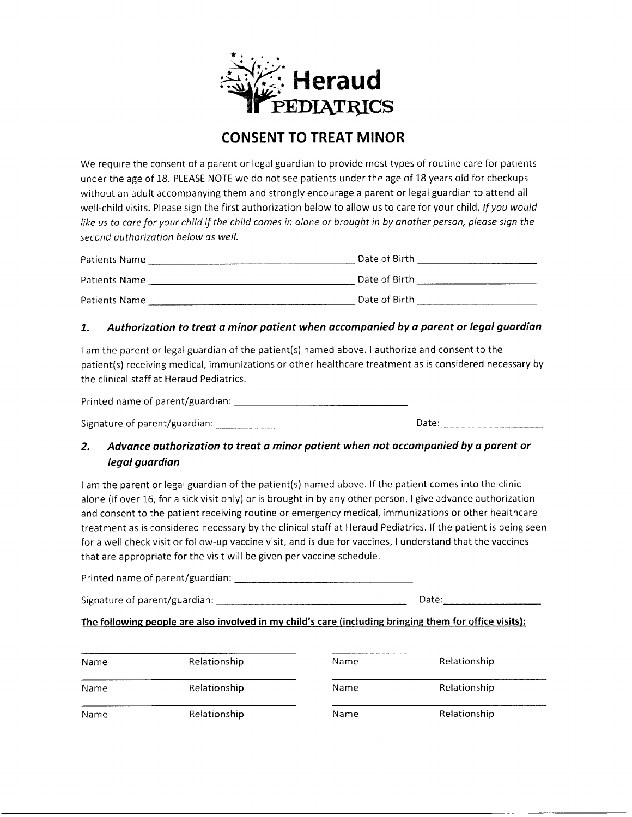

# CONSENT TO TREAT MINOR

We require the consent of a parent or legal guardian to provide most types of routine care for patients under the age of 18. PLEASE NOTE we do not see patients under the age of L8 years old for checkups without an adult accompanying them and strongly encourage a parent or legal guardian to attend all well-child visits. Please sign the first authorization below to allow us to care for your child. If you would like us to care for your child if the child comes in alone or brought in by another person, please sign the second authorization below as well.

| Patients Name | Date of Birth |
|---------------|---------------|
| Patients Name | Date of Birth |
| Patients Name | Date of Birth |

#### 1. Authorization to treat a minor patient when accompanied by a parent or legal guardian

lam the parent or legal guardian of the patient(s) named above. I authorize and consent to the patient(s) receiving medical, lmmunizations or other healthcare treatment as is considered necessary by the clinical staff at Heraud Pediatrics.

Printed name of parent/guardian:

Signature of parent/guardian : Date:

### 2. Advance authorization to treat a minor patient when not accompanied by a parent or legol guardian

lam the parent or legal guardian of the patient{s) named above. lf the patient comes into the clinic alone (if over 16, for a sick visit only) or is brought in by any other person, I give advance authorization and consent to the patient receiving routine or emergency medical, immunizations or other healthcare treatment as is considered necessary by the clinical staff at Heraud Pediatrics. lf the patient is being seen for a weil check visit or follow-up vaccine visit, and is due for vaccines, I understand that the vaccines that are appropriate for the visit will be given per vaccine schedule.

Printed name of parent/guardian:

Signature of parent/guardian : Date:

#### The following people are also involved in my child's care (including bringing them for office visits):

| <b>Name</b> | Relationship | Name | Relationship |
|-------------|--------------|------|--------------|
| Name        | Relationship | Name | Relationship |
| Name        | Relationship | Name | Relationship |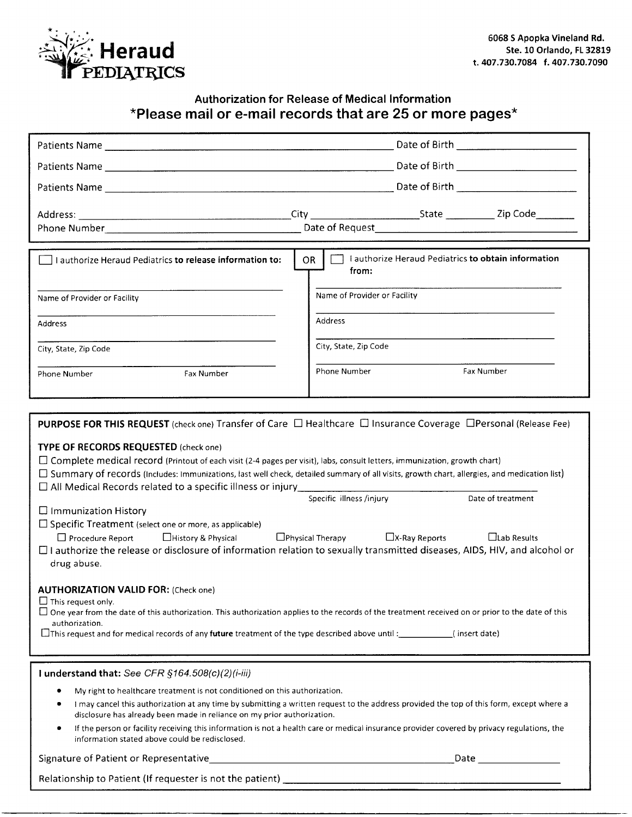

## Authorization for Release of Medical lnformation \*Please mail or e-mail records that are25 or more pages\*

| $\Box$ I authorize Heraud Pediatrics to release information to:                                                                                                                                                                                                                                                                                                                                                                                                                                                                                                                                                                                                                                                                                                                                                                                                                                                                                                                                                                                                                                                                                                                                                                 | Lauthorize Heraud Pediatrics to obtain information<br>OR.<br>from:                                                                          |  |  |
|---------------------------------------------------------------------------------------------------------------------------------------------------------------------------------------------------------------------------------------------------------------------------------------------------------------------------------------------------------------------------------------------------------------------------------------------------------------------------------------------------------------------------------------------------------------------------------------------------------------------------------------------------------------------------------------------------------------------------------------------------------------------------------------------------------------------------------------------------------------------------------------------------------------------------------------------------------------------------------------------------------------------------------------------------------------------------------------------------------------------------------------------------------------------------------------------------------------------------------|---------------------------------------------------------------------------------------------------------------------------------------------|--|--|
| Name of Provider or Facility                                                                                                                                                                                                                                                                                                                                                                                                                                                                                                                                                                                                                                                                                                                                                                                                                                                                                                                                                                                                                                                                                                                                                                                                    | Name of Provider or Facility                                                                                                                |  |  |
| <b>Address</b>                                                                                                                                                                                                                                                                                                                                                                                                                                                                                                                                                                                                                                                                                                                                                                                                                                                                                                                                                                                                                                                                                                                                                                                                                  | <b>Address</b>                                                                                                                              |  |  |
| City, State, Zip Code                                                                                                                                                                                                                                                                                                                                                                                                                                                                                                                                                                                                                                                                                                                                                                                                                                                                                                                                                                                                                                                                                                                                                                                                           | City, State, Zip Code                                                                                                                       |  |  |
| Fax Number<br>Phone Number                                                                                                                                                                                                                                                                                                                                                                                                                                                                                                                                                                                                                                                                                                                                                                                                                                                                                                                                                                                                                                                                                                                                                                                                      | Phone Number<br>Fax Number                                                                                                                  |  |  |
|                                                                                                                                                                                                                                                                                                                                                                                                                                                                                                                                                                                                                                                                                                                                                                                                                                                                                                                                                                                                                                                                                                                                                                                                                                 |                                                                                                                                             |  |  |
| <b>PURPOSE FOR THIS REQUEST</b> (check one) Transfer of Care $\Box$ Healthcare $\Box$ Insurance Coverage $\Box$ Personal (Release Fee)                                                                                                                                                                                                                                                                                                                                                                                                                                                                                                                                                                                                                                                                                                                                                                                                                                                                                                                                                                                                                                                                                          |                                                                                                                                             |  |  |
| TYPE OF RECORDS REQUESTED (check one)<br>□ Complete medical record (Printout of each visit (2-4 pages per visit), labs, consult letters, immunization, growth chart)<br>$\Box$ Summary of records (Includes: Immunizations, last well check, detailed summary of all visits, growth chart, allergies, and medication list)<br>$\Box$ All Medical Records related to a specific illness or injury $\Box$<br>Specific illness /injury<br>Date of treatment<br>$\Box$ Immunization History<br>□ Specific Treatment (select one or more, as applicable)<br>$\Box$ Procedure Report $\Box$ History & Physical $\Box$ Physical Therapy $\Box$ X-Ray Reports<br>$\Box$ Lab Results<br>□ I authorize the release or disclosure of information relation to sexually transmitted diseases, AIDS, HIV, and alcohol or<br>drug abuse.<br><b>AUTHORIZATION VALID FOR: (Check one)</b><br>$\Box$ This request only.<br>$\Box$ One year from the date of this authorization. This authorization applies to the records of the treatment received on or prior to the date of this<br>authorization.<br>$\Box$ This request and for medical records of any <b>future</b> treatment of the type described above until :_____________(insert date) |                                                                                                                                             |  |  |
|                                                                                                                                                                                                                                                                                                                                                                                                                                                                                                                                                                                                                                                                                                                                                                                                                                                                                                                                                                                                                                                                                                                                                                                                                                 |                                                                                                                                             |  |  |
| I understand that: See CFR $§164.508(c)(2)(i-iii)$                                                                                                                                                                                                                                                                                                                                                                                                                                                                                                                                                                                                                                                                                                                                                                                                                                                                                                                                                                                                                                                                                                                                                                              |                                                                                                                                             |  |  |
| My right to healthcare treatment is not conditioned on this authorization.<br>I may cancel this authorization at any time by submitting a written request to the address provided the top of this form, except where a<br>disclosure has already been made in reliance on my prior authorization.                                                                                                                                                                                                                                                                                                                                                                                                                                                                                                                                                                                                                                                                                                                                                                                                                                                                                                                               |                                                                                                                                             |  |  |
| ۰<br>information stated above could be redisclosed.                                                                                                                                                                                                                                                                                                                                                                                                                                                                                                                                                                                                                                                                                                                                                                                                                                                                                                                                                                                                                                                                                                                                                                             | If the person or facility receiving this information is not a health care or medical insurance provider covered by privacy regulations, the |  |  |
|                                                                                                                                                                                                                                                                                                                                                                                                                                                                                                                                                                                                                                                                                                                                                                                                                                                                                                                                                                                                                                                                                                                                                                                                                                 |                                                                                                                                             |  |  |
| Relationship to Patient (If requester is not the patient)<br>The matter of the patient and the context of the patient of the context of the context of the context of the context of the context of the context of the context o                                                                                                                                                                                                                                                                                                                                                                                                                                                                                                                                                                                                                                                                                                                                                                                                                                                                                                                                                                                                |                                                                                                                                             |  |  |